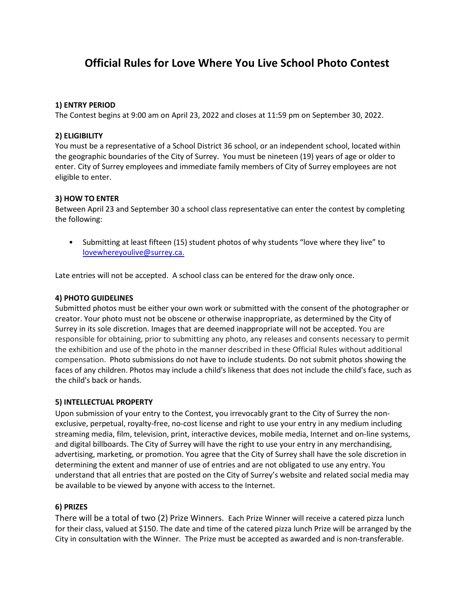# **Official Rules for Love Where You Live School Photo Contest**

# **1) ENTRY PERIOD**

The Contest begins at 9:00 am on April 23, 2022 and closes at 11:59 pm on September 30, 2022.

# **2) ELIGIBILITY**

You must be a representative of a School District 36 school, or an independent school, located within the geographic boundaries of the City of Surrey. You must be nineteen (19) years of age or older to enter. City of Surrey employees and immediate family members of City of Surrey employees are not eligible to enter.

# **3) HOW TO ENTER**

Between April 23 and September 30 a school class representative can enter the contest by completing the following:

• Submitting at least fifteen (15) student photos of why students "love where they live" to [lovewhereyoulive@surrey.ca.](mailto:lovewhereyoulive@surrey.ca)

Late entries will not be accepted. A school class can be entered for the draw only once.

# **4) PHOTO GUIDELINES**

Submitted photos must be either your own work or submitted with the consent of the photographer or creator. Your photo must not be obscene or otherwise inappropriate, as determined by the City of Surrey in its sole discretion. Images that are deemed inappropriate will not be accepted. You are responsible for obtaining, prior to submitting any photo, any releases and consents necessary to permit the exhibition and use of the photo in the manner described in these Official Rules without additional compensation. Photo submissions do not have to include students. Do not submit photos showing the faces of any children. Photos may include a child's likeness that does not include the child's face, such as the child's back or hands.

## **5) INTELLECTUAL PROPERTY**

Upon submission of your entry to the Contest, you irrevocably grant to the City of Surrey the nonexclusive, perpetual, royalty-free, no-cost license and right to use your entry in any medium including streaming media, film, television, print, interactive devices, mobile media, Internet and on-line systems, and digital billboards. The City of Surrey will have the right to use your entry in any merchandising, advertising, marketing, or promotion. You agree that the City of Surrey shall have the sole discretion in determining the extent and manner of use of entries and are not obligated to use any entry. You understand that all entries that are posted on the City of Surrey's website and related social media may be available to be viewed by anyone with access to the Internet.

# **6) PRIZES**

There will be a total of two (2) Prize Winners. Each Prize Winner will receive a catered pizza lunch for their class, valued at \$150. The date and time of the catered pizza lunch Prize will be arranged by the City in consultation with the Winner. The Prize must be accepted as awarded and is non-transferable.